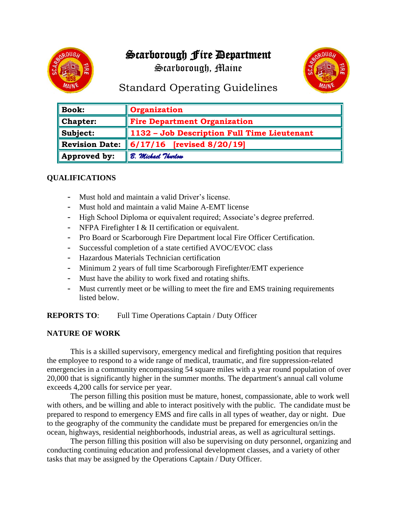# Scarborough Fire Department

Scarborough, Maine



## Standard Operating Guidelines

| <b>Book:</b>          | <b>Organization</b>                         |
|-----------------------|---------------------------------------------|
| <b>Chapter:</b>       | <b>Fire Department Organization</b>         |
| Subject:              | 1132 - Job Description Full Time Lieutenant |
| <b>Revision Date:</b> | $\ $ 6/17/16 [revised 8/20/19]              |
| Approved by:          | B. Michael Thurlow                          |

## **QUALIFICATIONS**

- Must hold and maintain a valid Driver's license.
- Must hold and maintain a valid Maine A-EMT license
- High School Diploma or equivalent required; Associate's degree preferred.
- NFPA Firefighter I  $&$  II certification or equivalent.
- Pro Board or Scarborough Fire Department local Fire Officer Certification.
- Successful completion of a state certified AVOC/EVOC class
- Hazardous Materials Technician certification
- Minimum 2 years of full time Scarborough Firefighter/EMT experience
- Must have the ability to work fixed and rotating shifts.
- Must currently meet or be willing to meet the fire and EMS training requirements listed below.

**REPORTS TO**: Full Time Operations Captain / Duty Officer

#### **NATURE OF WORK**

This is a skilled supervisory, emergency medical and firefighting position that requires the employee to respond to a wide range of medical, traumatic, and fire suppression-related emergencies in a community encompassing 54 square miles with a year round population of over 20,000 that is significantly higher in the summer months. The department's annual call volume exceeds 4,200 calls for service per year.

The person filling this position must be mature, honest, compassionate, able to work well with others, and be willing and able to interact positively with the public. The candidate must be prepared to respond to emergency EMS and fire calls in all types of weather, day or night. Due to the geography of the community the candidate must be prepared for emergencies on/in the ocean, highways, residential neighborhoods, industrial areas, as well as agricultural settings.

The person filling this position will also be supervising on duty personnel, organizing and conducting continuing education and professional development classes, and a variety of other tasks that may be assigned by the Operations Captain / Duty Officer.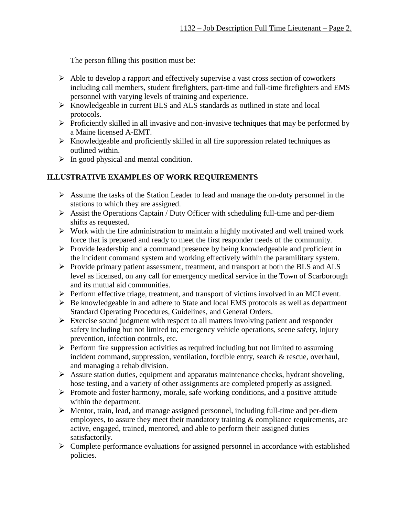The person filling this position must be:

- ➢ Able to develop a rapport and effectively supervise a vast cross section of coworkers including call members, student firefighters, part-time and full-time firefighters and EMS personnel with varying levels of training and experience.
- ➢ Knowledgeable in current BLS and ALS standards as outlined in state and local protocols.
- ➢ Proficiently skilled in all invasive and non-invasive techniques that may be performed by a Maine licensed A-EMT.
- $\triangleright$  Knowledgeable and proficiently skilled in all fire suppression related techniques as outlined within.
- $\triangleright$  In good physical and mental condition.

## **ILLUSTRATIVE EXAMPLES OF WORK REQUIREMENTS**

- ➢ Assume the tasks of the Station Leader to lead and manage the on-duty personnel in the stations to which they are assigned.
- $\triangleright$  Assist the Operations Captain / Duty Officer with scheduling full-time and per-diem shifts as requested.
- ➢ Work with the fire administration to maintain a highly motivated and well trained work force that is prepared and ready to meet the first responder needs of the community.
- ➢ Provide leadership and a command presence by being knowledgeable and proficient in the incident command system and working effectively within the paramilitary system.
- ➢ Provide primary patient assessment, treatment, and transport at both the BLS and ALS level as licensed, on any call for emergency medical service in the Town of Scarborough and its mutual aid communities.
- ➢ Perform effective triage, treatment, and transport of victims involved in an MCI event.
- ➢ Be knowledgeable in and adhere to State and local EMS protocols as well as department Standard Operating Procedures, Guidelines, and General Orders.
- ➢ Exercise sound judgment with respect to all matters involving patient and responder safety including but not limited to; emergency vehicle operations, scene safety, injury prevention, infection controls, etc.
- ➢ Perform fire suppression activities as required including but not limited to assuming incident command, suppression, ventilation, forcible entry, search & rescue, overhaul, and managing a rehab division.
- ➢ Assure station duties, equipment and apparatus maintenance checks, hydrant shoveling, hose testing, and a variety of other assignments are completed properly as assigned.
- ➢ Promote and foster harmony, morale, safe working conditions, and a positive attitude within the department.
- ➢ Mentor, train, lead, and manage assigned personnel, including full-time and per-diem employees, to assure they meet their mandatory training  $\&$  compliance requirements, are active, engaged, trained, mentored, and able to perform their assigned duties satisfactorily.
- ➢ Complete performance evaluations for assigned personnel in accordance with established policies.